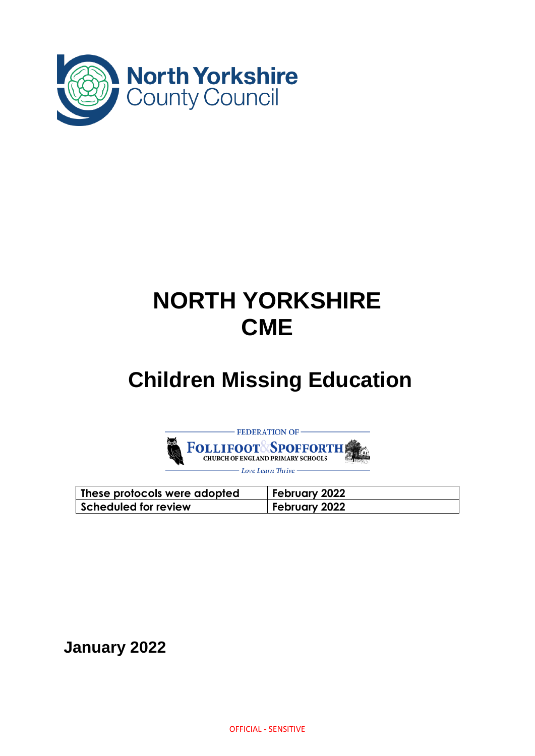

# **NORTH YORKSHIRE CME**

# **Children Missing Education**



| These protocols were adopted | February 2022 |
|------------------------------|---------------|
| <b>Scheduled for review</b>  | February 2022 |

**January 2022**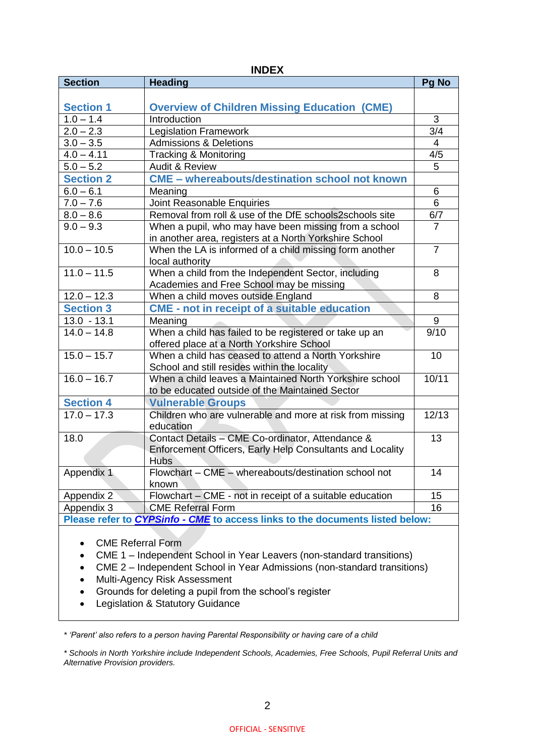| <b>INDEX</b>                                                                          |                                                                                                     |                |  |  |
|---------------------------------------------------------------------------------------|-----------------------------------------------------------------------------------------------------|----------------|--|--|
| <b>Section</b>                                                                        | <b>Heading</b>                                                                                      | Pg No          |  |  |
|                                                                                       |                                                                                                     |                |  |  |
| <b>Section 1</b>                                                                      | <b>Overview of Children Missing Education (CME)</b>                                                 |                |  |  |
| $1.0 - 1.4$                                                                           | Introduction                                                                                        | 3              |  |  |
| $2.0 - 2.3$                                                                           | <b>Legislation Framework</b>                                                                        | 3/4            |  |  |
| $3.0 - 3.5$                                                                           | <b>Admissions &amp; Deletions</b>                                                                   | 4              |  |  |
| $4.0 - 4.11$                                                                          | <b>Tracking &amp; Monitoring</b>                                                                    | 4/5            |  |  |
| $5.0 - 5.2$                                                                           | Audit & Review                                                                                      | 5              |  |  |
| <b>Section 2</b>                                                                      | <b>CME - whereabouts/destination school not known</b>                                               |                |  |  |
| $6.0 - 6.1$                                                                           | Meaning                                                                                             | 6              |  |  |
| $7.0 - 7.6$                                                                           | Joint Reasonable Enquiries                                                                          | $\overline{6}$ |  |  |
| $8.0 - 8.6$                                                                           | Removal from roll & use of the DfE schools2schools site                                             | 6/7            |  |  |
| $9.0 - 9.3$                                                                           | When a pupil, who may have been missing from a school                                               | $\overline{7}$ |  |  |
|                                                                                       | in another area, registers at a North Yorkshire School                                              |                |  |  |
| $10.0 - 10.5$                                                                         | When the LA is informed of a child missing form another                                             | $\overline{7}$ |  |  |
|                                                                                       | local authority                                                                                     |                |  |  |
| $11.0 - 11.5$                                                                         | When a child from the Independent Sector, including                                                 | 8              |  |  |
|                                                                                       | Academies and Free School may be missing                                                            |                |  |  |
| $12.0 - 12.3$                                                                         | When a child moves outside England                                                                  | 8              |  |  |
| <b>Section 3</b>                                                                      | <b>CME - not in receipt of a suitable education</b>                                                 |                |  |  |
| $13.0 - 13.1$                                                                         | Meaning                                                                                             | 9              |  |  |
| $14.0 - 14.8$                                                                         | When a child has failed to be registered or take up an<br>offered place at a North Yorkshire School | 9/10           |  |  |
| $15.0 - 15.7$                                                                         | When a child has ceased to attend a North Yorkshire                                                 | 10             |  |  |
|                                                                                       | School and still resides within the locality                                                        |                |  |  |
| $16.0 - 16.7$                                                                         | When a child leaves a Maintained North Yorkshire school                                             | 10/11          |  |  |
|                                                                                       | to be educated outside of the Maintained Sector                                                     |                |  |  |
| <b>Section 4</b>                                                                      | <b>Vulnerable Groups</b>                                                                            |                |  |  |
| $17.0 - 17.3$                                                                         | Children who are vulnerable and more at risk from missing                                           | 12/13          |  |  |
| 18.0                                                                                  | education<br>Contact Details - CME Co-ordinator, Attendance &                                       | 13             |  |  |
|                                                                                       |                                                                                                     |                |  |  |
|                                                                                       | Enforcement Officers, Early Help Consultants and Locality<br><b>Hubs</b>                            |                |  |  |
| Appendix 1                                                                            | Flowchart - CME - whereabouts/destination school not                                                | 14             |  |  |
|                                                                                       | known                                                                                               |                |  |  |
| Appendix 2                                                                            | Flowchart – CME - not in receipt of a suitable education                                            | 15             |  |  |
| Appendix 3                                                                            | <b>CME Referral Form</b>                                                                            | 16             |  |  |
| Please refer to CYPSinfo - CME to access links to the documents listed below:         |                                                                                                     |                |  |  |
|                                                                                       |                                                                                                     |                |  |  |
| <b>CME Referral Form</b><br>$\bullet$                                                 |                                                                                                     |                |  |  |
| CME 1 – Independent School in Year Leavers (non-standard transitions)<br>$\bullet$    |                                                                                                     |                |  |  |
| CME 2 – Independent School in Year Admissions (non-standard transitions)<br>$\bullet$ |                                                                                                     |                |  |  |

- Multi-Agency Risk Assessment
- Grounds for deleting a pupil from the school's register
- Legislation & Statutory Guidance

*\* 'Parent' also refers to a person having Parental Responsibility or having care of a child*

*\* Schools in North Yorkshire include Independent Schools, Academies, Free Schools, Pupil Referral Units and Alternative Provision providers.*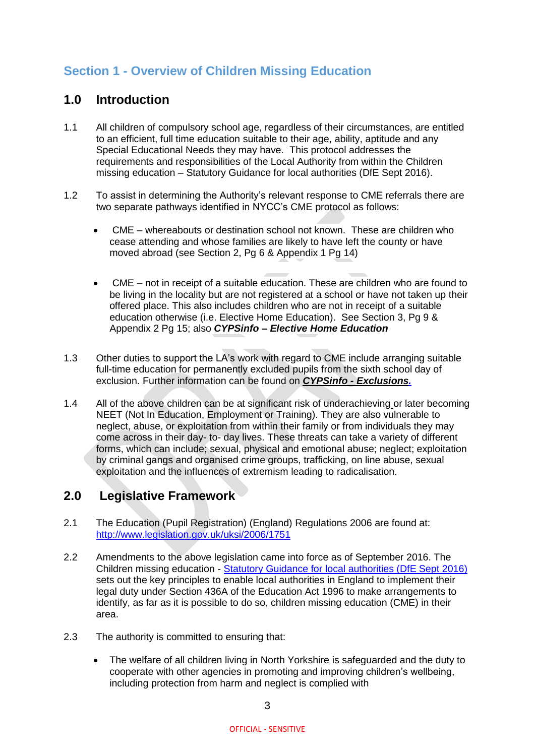# **Section 1 - Overview of Children Missing Education**

## **1.0 Introduction**

- 1.1 All children of compulsory school age, regardless of their circumstances, are entitled to an efficient, full time education suitable to their age, ability, aptitude and any Special Educational Needs they may have. This protocol addresses the requirements and responsibilities of the Local Authority from within the Children missing education – Statutory Guidance for local authorities (DfE Sept 2016).
- 1.2 To assist in determining the Authority's relevant response to CME referrals there are two separate pathways identified in NYCC's CME protocol as follows:
	- CME whereabouts or destination school not known. These are children who cease attending and whose families are likely to have left the county or have moved abroad (see Section 2, Pg 6 & Appendix 1 Pg 14)
	- CME not in receipt of a suitable education. These are children who are found to be living in the locality but are not registered at a school or have not taken up their offered place. This also includes children who are not in receipt of a suitable education otherwise (i.e. Elective Home Education). See Section 3, Pg 9 & Appendix 2 Pg 15; also *CYPSinfo – [Elective Home Education](https://cyps.northyorks.gov.uk/elective-home-education)*
- 1.3 Other duties to support the LA's work with regard to CME include arranging suitable full-time education for permanently excluded pupils from the sixth school day of exclusion. Further information can be found on *CYPSinfo - [Exclusions.](https://cyps.northyorks.gov.uk/exclusions)*
- 1.4 All of the above children can be at significant risk of underachieving or later becoming NEET (Not In Education, Employment or Training). They are also vulnerable to neglect, abuse, or exploitation from within their family or from individuals they may come across in their day- to- day lives. These threats can take a variety of different forms, which can include; sexual, physical and emotional abuse; neglect; exploitation by criminal gangs and organised crime groups, trafficking, on line abuse, sexual exploitation and the influences of extremism leading to radicalisation.

# **2.0 Legislative Framework**

- 2.1 The Education (Pupil Registration) (England) Regulations 2006 are found at: <http://www.legislation.gov.uk/uksi/2006/1751>
- 2.2 Amendments to the above legislation came into force as of September 2016. The Children missing education - [Statutory Guidance for local authorities \(DfE Sept 2016\)](https://assets.publishing.service.gov.uk/government/uploads/system/uploads/attachment_data/file/550416/Children_Missing_Education_-_statutory_guidance.pdf) sets out the key principles to enable local authorities in England to implement their legal duty under Section 436A of the Education Act 1996 to make arrangements to identify, as far as it is possible to do so, children missing education (CME) in their area.
- 2.3 The authority is committed to ensuring that:
	- The welfare of all children living in North Yorkshire is safeguarded and the duty to cooperate with other agencies in promoting and improving children's wellbeing, including protection from harm and neglect is complied with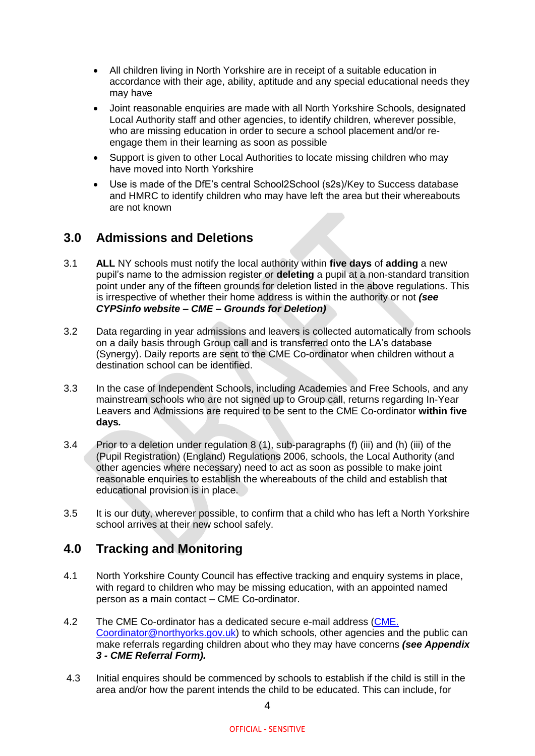- All children living in North Yorkshire are in receipt of a suitable education in accordance with their age, ability, aptitude and any special educational needs they may have
- Joint reasonable enquiries are made with all North Yorkshire Schools, designated Local Authority staff and other agencies, to identify children, wherever possible, who are missing education in order to secure a school placement and/or reengage them in their learning as soon as possible
- Support is given to other Local Authorities to locate missing children who may have moved into North Yorkshire
- Use is made of the DfE's central School2School (s2s)/Key to Success database and HMRC to identify children who may have left the area but their whereabouts are not known

## **3.0 Admissions and Deletions**

- 3.1 **ALL** NY schools must notify the local authority within **five days** of **adding** a new pupil's name to the admission register or **deleting** a pupil at a non-standard transition point under any of the fifteen grounds for deletion listed in the above regulations. This is irrespective of whether their home address is within the authority or not *(see CYPSinfo website – CME – Grounds for Deletion)*
- 3.2 Data regarding in year admissions and leavers is collected automatically from schools on a daily basis through Group call and is transferred onto the LA's database (Synergy). Daily reports are sent to the CME Co-ordinator when children without a destination school can be identified.
- 3.3 In the case of Independent Schools, including Academies and Free Schools, and any mainstream schools who are not signed up to Group call, returns regarding In-Year Leavers and Admissions are required to be sent to the CME Co-ordinator **within five days***.*
- 3.4 Prior to a deletion under regulation 8 (1), sub-paragraphs (f) (iii) and (h) (iii) of the (Pupil Registration) (England) Regulations 2006, schools, the Local Authority (and other agencies where necessary) need to act as soon as possible to make joint reasonable enquiries to establish the whereabouts of the child and establish that educational provision is in place.
- 3.5 It is our duty, wherever possible, to confirm that a child who has left a North Yorkshire school arrives at their new school safely.

# **4.0 Tracking and Monitoring**

- 4.1 North Yorkshire County Council has effective tracking and enquiry systems in place, with regard to children who may be missing education, with an appointed named person as a main contact – CME Co-ordinator.
- 4.2 The CME Co-ordinator has a dedicated secure e-mail address (CME. [Coordinator@northyorks.gov.uk\)](mailto:CME.%20Coordinator@northyorks.gov.uk) to which schools, other agencies and the public can make referrals regarding children about who they may have concerns *(see Appendix 3 - CME Referral Form).*
- 4.3 Initial enquires should be commenced by schools to establish if the child is still in the area and/or how the parent intends the child to be educated. This can include, for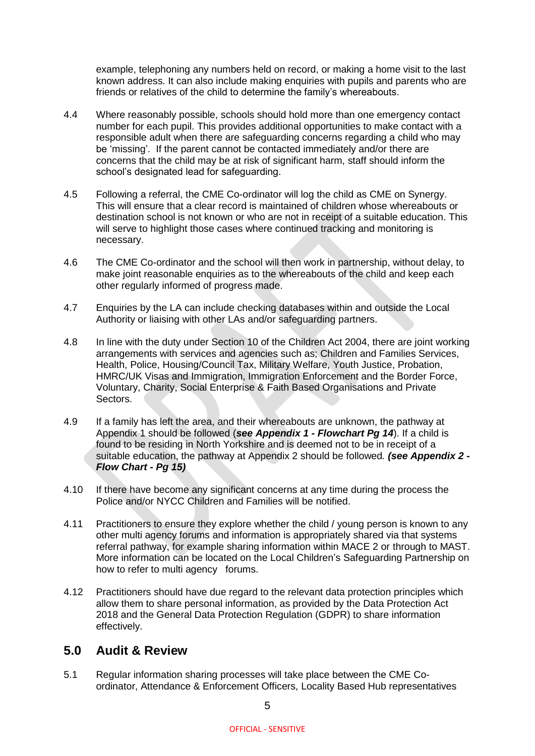example, telephoning any numbers held on record, or making a home visit to the last known address. It can also include making enquiries with pupils and parents who are friends or relatives of the child to determine the family's whereabouts.

- 4.4 Where reasonably possible, schools should hold more than one emergency contact number for each pupil. This provides additional opportunities to make contact with a responsible adult when there are safeguarding concerns regarding a child who may be 'missing'. If the parent cannot be contacted immediately and/or there are concerns that the child may be at risk of significant harm, staff should inform the school's designated lead for safeguarding.
- 4.5 Following a referral, the CME Co-ordinator will log the child as CME on Synergy. This will ensure that a clear record is maintained of children whose whereabouts or destination school is not known or who are not in receipt of a suitable education. This will serve to highlight those cases where continued tracking and monitoring is necessary.
- 4.6 The CME Co-ordinator and the school will then work in partnership, without delay, to make joint reasonable enquiries as to the whereabouts of the child and keep each other regularly informed of progress made.
- 4.7 Enquiries by the LA can include checking databases within and outside the Local Authority or liaising with other LAs and/or safeguarding partners.
- 4.8 In line with the duty under Section 10 of the Children Act 2004, there are joint working arrangements with services and agencies such as; Children and Families Services, Health, Police, Housing/Council Tax, Military Welfare, Youth Justice, Probation, HMRC/UK Visas and Immigration, Immigration Enforcement and the Border Force, Voluntary, Charity, Social Enterprise & Faith Based Organisations and Private Sectors.
- 4.9 If a family has left the area, and their whereabouts are unknown, the pathway at Appendix 1 should be followed (*see Appendix 1 - Flowchart Pg 14*). If a child is found to be residing in North Yorkshire and is deemed not to be in receipt of a suitable education, the pathway at Appendix 2 should be followed*. (see Appendix 2 - Flow Chart - Pg 15)*
- 4.10 If there have become any significant concerns at any time during the process the Police and/or NYCC Children and Families will be notified.
- 4.11 Practitioners to ensure they explore whether the child / young person is known to any other multi agency forums and information is appropriately shared via that systems referral pathway, for example sharing information within MACE 2 or through to MAST. More information can be located on the Local Children's Safeguarding Partnership on how to refer to multi agency forums.
- 4.12 Practitioners should have due regard to the relevant data protection principles which allow them to share personal information, as provided by the Data Protection Act 2018 and the General Data Protection Regulation (GDPR) to share information effectively.

#### **5.0 Audit & Review**

5.1 Regular information sharing processes will take place between the CME Coordinator, Attendance & Enforcement Officers, Locality Based Hub representatives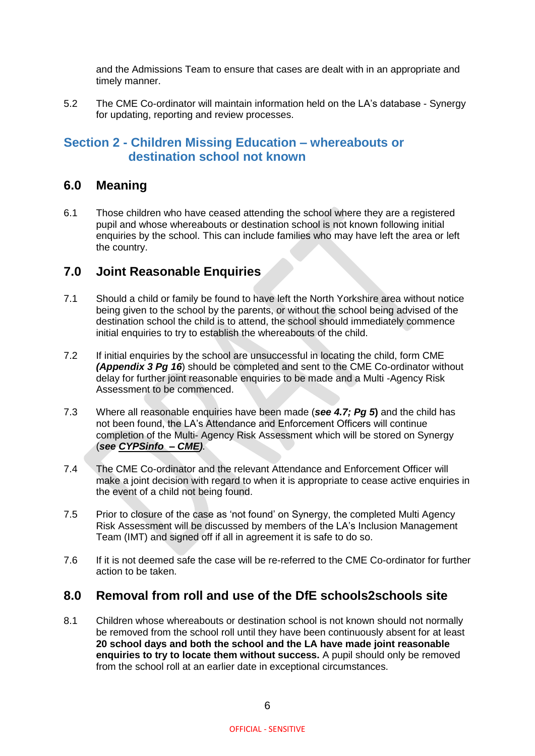and the Admissions Team to ensure that cases are dealt with in an appropriate and timely manner.

5.2 The CME Co-ordinator will maintain information held on the LA's database - Synergy for updating, reporting and review processes.

#### **Section 2 - Children Missing Education – whereabouts or destination school not known**

#### **6.0 Meaning**

6.1 Those children who have ceased attending the school where they are a registered pupil and whose whereabouts or destination school is not known following initial enquiries by the school. This can include families who may have left the area or left the country.

## **7.0 Joint Reasonable Enquiries**

- 7.1 Should a child or family be found to have left the North Yorkshire area without notice being given to the school by the parents, or without the school being advised of the destination school the child is to attend, the school should immediately commence initial enquiries to try to establish the whereabouts of the child.
- 7.2 If initial enquiries by the school are unsuccessful in locating the child, form CME *(Appendix 3 Pg 16*) should be completed and sent to the CME Co-ordinator without delay for further joint reasonable enquiries to be made and a Multi -Agency Risk Assessment to be commenced.
- 7.3 Where all reasonable enquiries have been made (*see 4.7; Pg 5***)** and the child has not been found, the LA's Attendance and Enforcement Officers will continue completion of the Multi- Agency Risk Assessment which will be stored on Synergy (*see [CYPSinfo –](https://cyps.northyorks.gov.uk/children-missing-education) CME).*
- 7.4 The CME Co-ordinator and the relevant Attendance and Enforcement Officer will make a joint decision with regard to when it is appropriate to cease active enquiries in the event of a child not being found.
- 7.5 Prior to closure of the case as 'not found' on Synergy, the completed Multi Agency Risk Assessment will be discussed by members of the LA's Inclusion Management Team (IMT) and signed off if all in agreement it is safe to do so.
- 7.6 If it is not deemed safe the case will be re-referred to the CME Co-ordinator for further action to be taken.

## **8.0 Removal from roll and use of the DfE schools2schools site**

8.1 Children whose whereabouts or destination school is not known should not normally be removed from the school roll until they have been continuously absent for at least **20 school days and both the school and the LA have made joint reasonable enquiries to try to locate them without success.** A pupil should only be removed from the school roll at an earlier date in exceptional circumstances.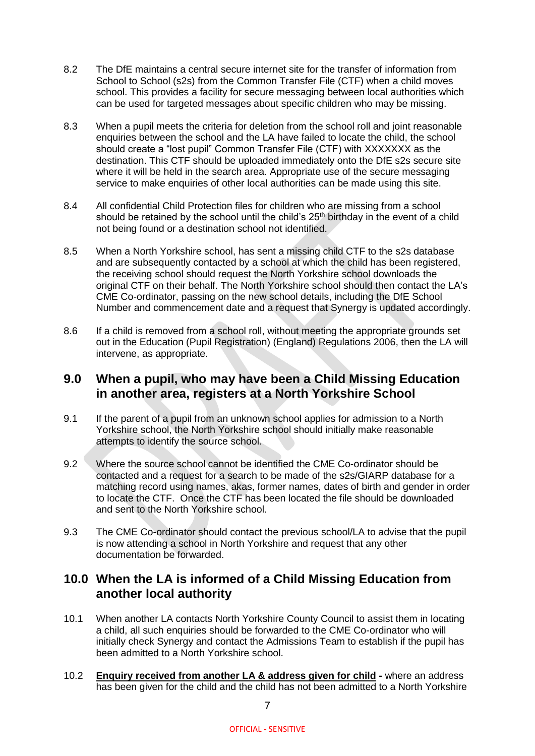- 8.2 The DfE maintains a central secure internet site for the transfer of information from School to School (s2s) from the Common Transfer File (CTF) when a child moves school. This provides a facility for secure messaging between local authorities which can be used for targeted messages about specific children who may be missing.
- 8.3 When a pupil meets the criteria for deletion from the school roll and joint reasonable enquiries between the school and the LA have failed to locate the child, the school should create a "lost pupil" Common Transfer File (CTF) with XXXXXXX as the destination. This CTF should be uploaded immediately onto the DfE s2s secure site where it will be held in the search area. Appropriate use of the secure messaging service to make enquiries of other local authorities can be made using this site.
- 8.4 All confidential Child Protection files for children who are missing from a school should be retained by the school until the child's 25<sup>th</sup> birthday in the event of a child not being found or a destination school not identified.
- 8.5 When a North Yorkshire school, has sent a missing child CTF to the s2s database and are subsequently contacted by a school at which the child has been registered. the receiving school should request the North Yorkshire school downloads the original CTF on their behalf. The North Yorkshire school should then contact the LA's CME Co-ordinator, passing on the new school details, including the DfE School Number and commencement date and a request that Synergy is updated accordingly.
- 8.6 If a child is removed from a school roll, without meeting the appropriate grounds set out in the Education (Pupil Registration) (England) Regulations 2006, then the LA will intervene, as appropriate.

## **9.0 When a pupil, who may have been a Child Missing Education in another area, registers at a North Yorkshire School**

- 9.1 If the parent of a pupil from an unknown school applies for admission to a North Yorkshire school, the North Yorkshire school should initially make reasonable attempts to identify the source school.
- 9.2 Where the source school cannot be identified the CME Co-ordinator should be contacted and a request for a search to be made of the s2s/GIARP database for a matching record using names, akas, former names, dates of birth and gender in order to locate the CTF. Once the CTF has been located the file should be downloaded and sent to the North Yorkshire school.
- 9.3 The CME Co-ordinator should contact the previous school/LA to advise that the pupil is now attending a school in North Yorkshire and request that any other documentation be forwarded.

## **10.0 When the LA is informed of a Child Missing Education from another local authority**

- 10.1 When another LA contacts North Yorkshire County Council to assist them in locating a child, all such enquiries should be forwarded to the CME Co-ordinator who will initially check Synergy and contact the Admissions Team to establish if the pupil has been admitted to a North Yorkshire school.
- 10.2 **Enquiry received from another LA & address given for child -** where an address has been given for the child and the child has not been admitted to a North Yorkshire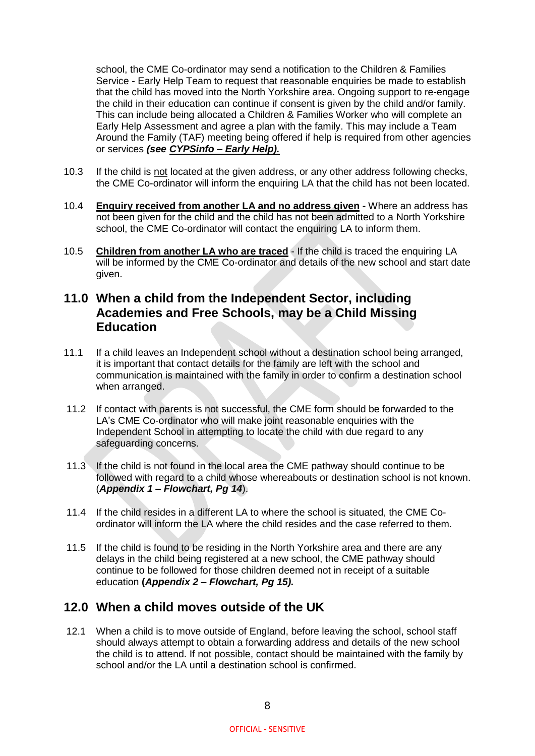school, the CME Co-ordinator may send a notification to the Children & Families Service - Early Help Team to request that reasonable enquiries be made to establish that the child has moved into the North Yorkshire area. Ongoing support to re-engage the child in their education can continue if consent is given by the child and/or family. This can include being allocated a Children & Families Worker who will complete an Early Help Assessment and agree a plan with the family. This may include a Team Around the Family (TAF) meeting being offered if help is required from other agencies or services *(see CYPSinfo – [Early Help\).](https://cyps.northyorks.gov.uk/early-help)* 

- 10.3 If the child is not located at the given address, or any other address following checks, the CME Co-ordinator will inform the enquiring LA that the child has not been located.
- 10.4 **Enquiry received from another LA and no address given -** Where an address has not been given for the child and the child has not been admitted to a North Yorkshire school, the CME Co-ordinator will contact the enquiring LA to inform them.
- 10.5 **Children from another LA who are traced** If the child is traced the enquiring LA will be informed by the CME Co-ordinator and details of the new school and start date given.

### **11.0 When a child from the Independent Sector, including Academies and Free Schools, may be a Child Missing Education**

- 11.1 If a child leaves an Independent school without a destination school being arranged, it is important that contact details for the family are left with the school and communication is maintained with the family in order to confirm a destination school when arranged.
- 11.2 If contact with parents is not successful, the CME form should be forwarded to the LA's CME Co-ordinator who will make joint reasonable enquiries with the Independent School in attempting to locate the child with due regard to any safeguarding concerns.
- 11.3 If the child is not found in the local area the CME pathway should continue to be followed with regard to a child whose whereabouts or destination school is not known. (*Appendix 1 – Flowchart, Pg 14*).
- 11.4 If the child resides in a different LA to where the school is situated, the CME Coordinator will inform the LA where the child resides and the case referred to them.
- 11.5 If the child is found to be residing in the North Yorkshire area and there are any delays in the child being registered at a new school, the CME pathway should continue to be followed for those children deemed not in receipt of a suitable education **(***Appendix 2 – Flowchart, Pg 15).*

## **12.0 When a child moves outside of the UK**

12.1 When a child is to move outside of England, before leaving the school, school staff should always attempt to obtain a forwarding address and details of the new school the child is to attend. If not possible, contact should be maintained with the family by school and/or the LA until a destination school is confirmed.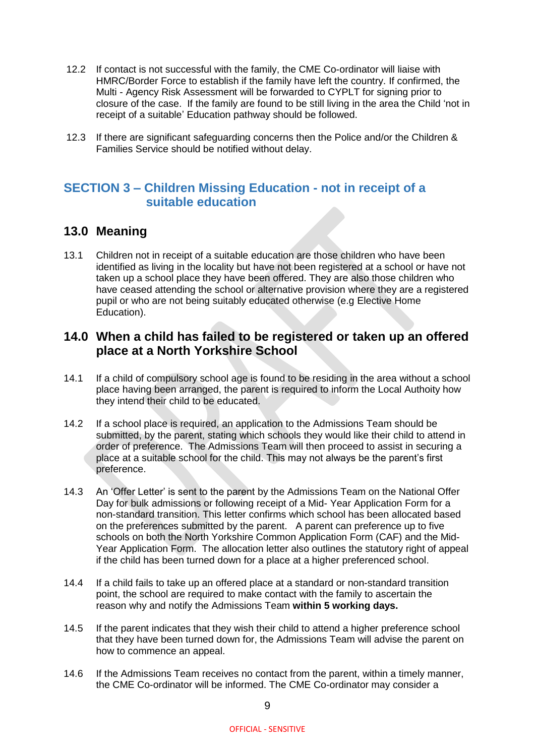- 12.2 If contact is not successful with the family, the CME Co-ordinator will liaise with HMRC/Border Force to establish if the family have left the country. If confirmed, the Multi - Agency Risk Assessment will be forwarded to CYPLT for signing prior to closure of the case. If the family are found to be still living in the area the Child 'not in receipt of a suitable' Education pathway should be followed.
- 12.3 If there are significant safeguarding concerns then the Police and/or the Children & Families Service should be notified without delay.

## **SECTION 3 – Children Missing Education - not in receipt of a suitable education**

## **13.0 Meaning**

13.1 Children not in receipt of a suitable education are those children who have been identified as living in the locality but have not been registered at a school or have not taken up a school place they have been offered. They are also those children who have ceased attending the school or alternative provision where they are a registered pupil or who are not being suitably educated otherwise (e.g Elective Home Education).

## **14.0 When a child has failed to be registered or taken up an offered place at a North Yorkshire School**

- 14.1 If a child of compulsory school age is found to be residing in the area without a school place having been arranged, the parent is required to inform the Local Authoity how they intend their child to be educated.
- 14.2 If a school place is required, an application to the Admissions Team should be submitted, by the parent, stating which schools they would like their child to attend in order of preference. The Admissions Team will then proceed to assist in securing a place at a suitable school for the child. This may not always be the parent's first preference.
- 14.3 An 'Offer Letter' is sent to the parent by the Admissions Team on the National Offer Day for bulk admissions or following receipt of a Mid- Year Application Form for a non-standard transition. This letter confirms which school has been allocated based on the preferences submitted by the parent. A parent can preference up to five schools on both the North Yorkshire Common Application Form (CAF) and the Mid-Year Application Form. The allocation letter also outlines the statutory right of appeal if the child has been turned down for a place at a higher preferenced school.
- 14.4 If a child fails to take up an offered place at a standard or non-standard transition point, the school are required to make contact with the family to ascertain the reason why and notify the Admissions Team **within 5 working days.**
- 14.5 If the parent indicates that they wish their child to attend a higher preference school that they have been turned down for, the Admissions Team will advise the parent on how to commence an appeal.
- 14.6 If the Admissions Team receives no contact from the parent, within a timely manner, the CME Co-ordinator will be informed. The CME Co-ordinator may consider a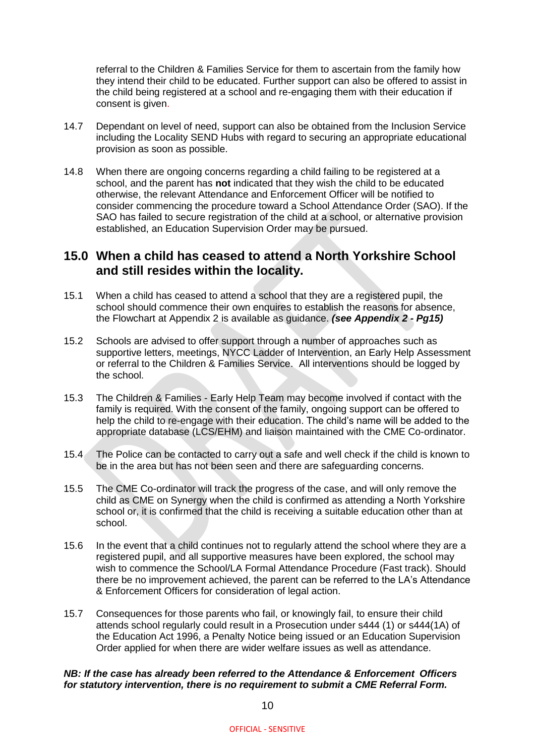referral to the Children & Families Service for them to ascertain from the family how they intend their child to be educated. Further support can also be offered to assist in the child being registered at a school and re-engaging them with their education if consent is given.

- 14.7 Dependant on level of need, support can also be obtained from the Inclusion Service including the Locality SEND Hubs with regard to securing an appropriate educational provision as soon as possible.
- 14.8 When there are ongoing concerns regarding a child failing to be registered at a school, and the parent has **not** indicated that they wish the child to be educated otherwise, the relevant Attendance and Enforcement Officer will be notified to consider commencing the procedure toward a School Attendance Order (SAO). If the SAO has failed to secure registration of the child at a school, or alternative provision established, an Education Supervision Order may be pursued.

## **15.0 When a child has ceased to attend a North Yorkshire School and still resides within the locality.**

- 15.1 When a child has ceased to attend a school that they are a registered pupil, the school should commence their own enquires to establish the reasons for absence, the Flowchart at Appendix 2 is available as guidance. *(see Appendix 2 - Pg15)*
- 15.2 Schools are advised to offer support through a number of approaches such as supportive letters, meetings, NYCC Ladder of Intervention, an Early Help Assessment or referral to the Children & Families Service. All interventions should be logged by the school.
- 15.3 The Children & Families Early Help Team may become involved if contact with the family is required. With the consent of the family, ongoing support can be offered to help the child to re-engage with their education. The child's name will be added to the appropriate database (LCS/EHM) and liaison maintained with the CME Co-ordinator.
- 15.4 The Police can be contacted to carry out a safe and well check if the child is known to be in the area but has not been seen and there are safeguarding concerns.
- 15.5 The CME Co-ordinator will track the progress of the case, and will only remove the child as CME on Synergy when the child is confirmed as attending a North Yorkshire school or, it is confirmed that the child is receiving a suitable education other than at school.
- 15.6 In the event that a child continues not to regularly attend the school where they are a registered pupil, and all supportive measures have been explored, the school may wish to commence the School/LA Formal Attendance Procedure (Fast track). Should there be no improvement achieved, the parent can be referred to the LA's Attendance & Enforcement Officers for consideration of legal action.
- 15.7 Consequences for those parents who fail, or knowingly fail, to ensure their child attends school regularly could result in a Prosecution under s444 (1) or s444(1A) of the Education Act 1996, a Penalty Notice being issued or an Education Supervision Order applied for when there are wider welfare issues as well as attendance.

#### *NB: If the case has already been referred to the Attendance & Enforcement Officers for statutory intervention, there is no requirement to submit a CME Referral Form.*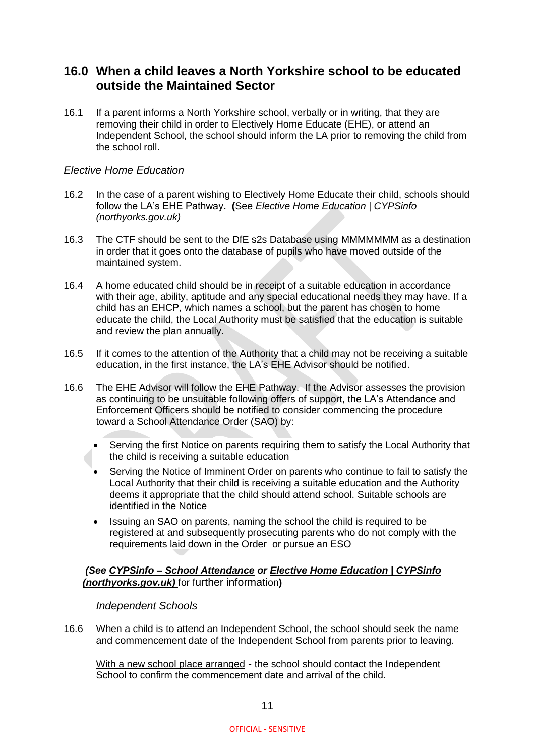## **16.0 When a child leaves a North Yorkshire school to be educated outside the Maintained Sector**

16.1 If a parent informs a North Yorkshire school, verbally or in writing, that they are removing their child in order to Electively Home Educate (EHE), or attend an Independent School, the school should inform the LA prior to removing the child from the school roll.

#### *Elective Home Education*

- 16.2 In the case of a parent wishing to Electively Home Educate their child, schools should follow the LA's EHE Pathway**. (**See *[Elective Home Education | CYPSinfo](https://cyps.northyorks.gov.uk/elective-home-education)  [\(northyorks.gov.uk\)](https://cyps.northyorks.gov.uk/elective-home-education)*
- 16.3 The CTF should be sent to the DfE s2s Database using MMMMMMM as a destination in order that it goes onto the database of pupils who have moved outside of the maintained system.
- 16.4 A home educated child should be in receipt of a suitable education in accordance with their age, ability, aptitude and any special educational needs they may have. If a child has an EHCP, which names a school, but the parent has chosen to home educate the child, the Local Authority must be satisfied that the education is suitable and review the plan annually.
- 16.5 If it comes to the attention of the Authority that a child may not be receiving a suitable education, in the first instance, the LA's EHE Advisor should be notified.
- 16.6 The EHE Advisor will follow the EHE Pathway. If the Advisor assesses the provision as continuing to be unsuitable following offers of support, the LA's Attendance and Enforcement Officers should be notified to consider commencing the procedure toward a School Attendance Order (SAO) by:
	- Serving the first Notice on parents requiring them to satisfy the Local Authority that the child is receiving a suitable education
	- Serving the Notice of Imminent Order on parents who continue to fail to satisfy the Local Authority that their child is receiving a suitable education and the Authority deems it appropriate that the child should attend school. Suitable schools are identified in the Notice
	- Issuing an SAO on parents, naming the school the child is required to be registered at and subsequently prosecuting parents who do not comply with the requirements laid down in the Order or pursue an ESO

#### *(See CYPSinfo – [School Attendance](https://cyps.northyorks.gov.uk/school-attendance) or [Elective Home Education | CYPSinfo](https://cyps.northyorks.gov.uk/elective-home-education)  [\(northyorks.gov.uk\)](https://cyps.northyorks.gov.uk/elective-home-education)* for further information**)**

#### *Independent Schools*

16.6 When a child is to attend an Independent School, the school should seek the name and commencement date of the Independent School from parents prior to leaving.

With a new school place arranged - the school should contact the Independent School to confirm the commencement date and arrival of the child.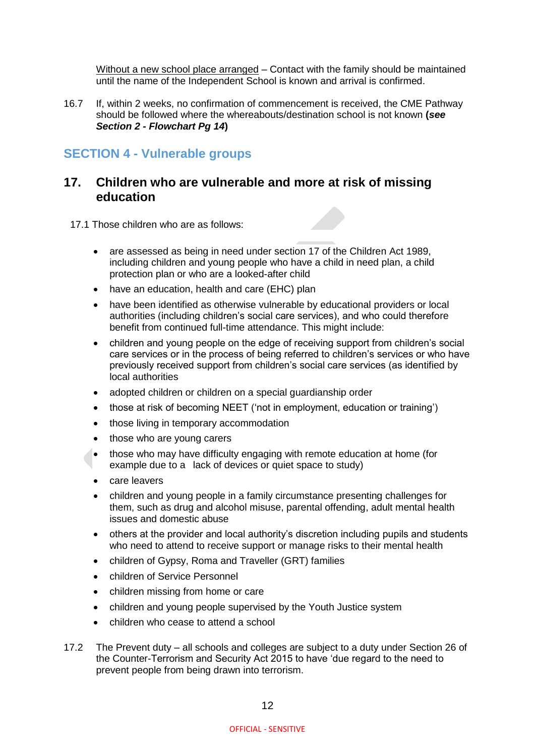Without a new school place arranged – Contact with the family should be maintained until the name of the Independent School is known and arrival is confirmed.

16.7 If, within 2 weeks, no confirmation of commencement is received, the CME Pathway should be followed where the whereabouts/destination school is not known **(***see Section 2 - Flowchart Pg 14***)**

# **SECTION 4 - Vulnerable groups**

#### **17. Children who are vulnerable and more at risk of missing education**

17.1 Those children who are as follows:

- are assessed as being in need under section 17 of the Children Act 1989, including children and young people who have a child in need plan, a child protection plan or who are a looked-after child
- have an education, health and care (EHC) plan
- have been identified as otherwise vulnerable by educational providers or local authorities (including children's social care services), and who could therefore benefit from continued full-time attendance. This might include:
- children and young people on the edge of receiving support from children's social care services or in the process of being referred to children's services or who have previously received support from children's social care services (as identified by local authorities
- adopted children or children on a special guardianship order
- those at risk of becoming NEET ('not in employment, education or training')
- those living in temporary accommodation
- those who are young carers
- those who may have difficulty engaging with remote education at home (for example due to a lack of devices or quiet space to study)
- care leavers
- children and young people in a family circumstance presenting challenges for them, such as drug and alcohol misuse, parental offending, adult mental health issues and domestic abuse
- others at the provider and local authority's discretion including pupils and students who need to attend to receive support or manage risks to their mental health
- children of Gypsy, Roma and Traveller (GRT) families
- children of Service Personnel
- children missing from home or care
- children and young people supervised by the Youth Justice system
- children who cease to attend a school
- 17.2 The Prevent duty all schools and colleges are subject to a duty under Section 26 of the Counter-Terrorism and Security Act 2015 to have 'due regard to the need to prevent people from being drawn into terrorism.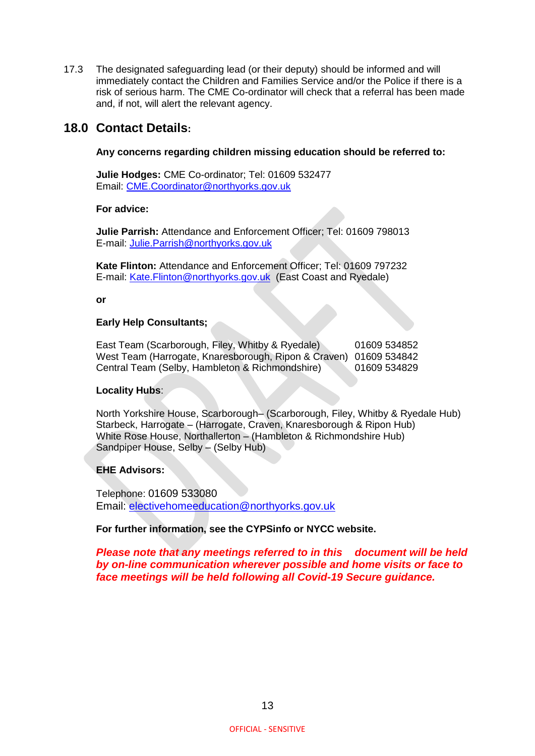17.3 The designated safeguarding lead (or their deputy) should be informed and will immediately contact the Children and Families Service and/or the Police if there is a risk of serious harm. The CME Co-ordinator will check that a referral has been made and, if not, will alert the relevant agency.

### **18.0 Contact Details:**

#### **Any concerns regarding children missing education should be referred to:**

**Julie Hodges:** CME Co-ordinator; Tel: 01609 532477 Email: [CME.Coordinator@northyorks.gov.uk](mailto:CME.Coordinator@northyorks.gov.uk)

#### **For advice:**

**Julie Parrish:** Attendance and Enforcement Officer; Tel: 01609 798013 E-mail: [Julie.Parrish@northyorks.gov.uk](mailto:Julie.Parrish@northyorks.gov.uk)

**Kate Flinton:** Attendance and Enforcement Officer; Tel: 01609 797232 E-mail: [Kate.Flinton@northyorks.gov.uk](mailto:Kate.Flinton@northyorks.gov.uk) (East Coast and Ryedale)

#### **or**

#### **Early Help Consultants;**

East Team (Scarborough, Filey, Whitby & Ryedale) 01609 534852 West Team (Harrogate, Knaresborough, Ripon & Craven) 01609 534842 Central Team (Selby, Hambleton & Richmondshire) 01609 534829

#### **Locality Hubs**:

North Yorkshire House, Scarborough– (Scarborough, Filey, Whitby & Ryedale Hub) Starbeck, Harrogate – (Harrogate, Craven, Knaresborough & Ripon Hub) White Rose House, Northallerton – (Hambleton & Richmondshire Hub) Sandpiper House, Selby – (Selby Hub)

#### **EHE Advisors:**

Telephone: 01609 533080 Email: [electivehomeeducation@northyorks.gov.uk](mailto:electivehomeeducation@northyorks.gov.uk)

**For further information, see the CYPSinfo or NYCC website.**

*Please note that any meetings referred to in this document will be held by on-line communication wherever possible and home visits or face to face meetings will be held following all Covid-19 Secure guidance.*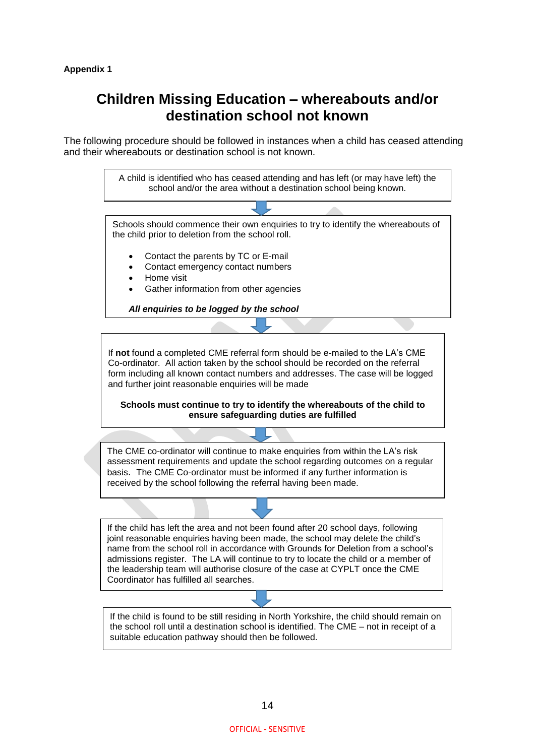# **Children Missing Education – whereabouts and/or destination school not known**

The following procedure should be followed in instances when a child has ceased attending and their whereabouts or destination school is not known.

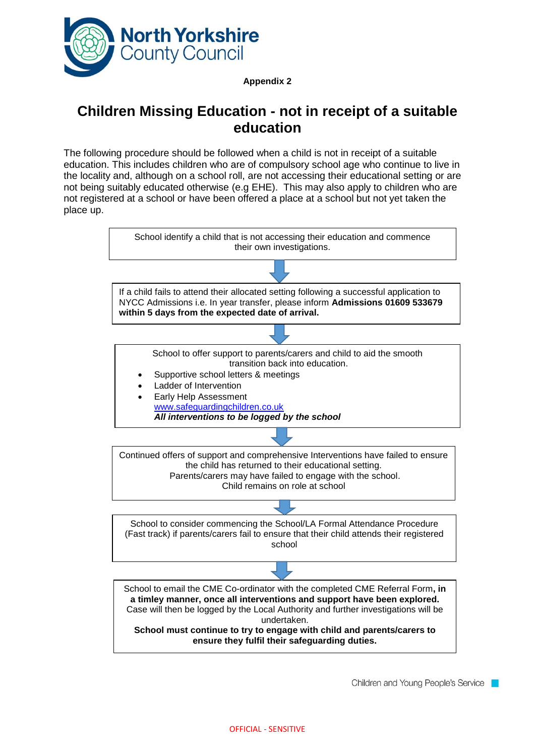

**Appendix 2**

# **Children Missing Education - not in receipt of a suitable education**

The following procedure should be followed when a child is not in receipt of a suitable education. This includes children who are of compulsory school age who continue to live in the locality and, although on a school roll, are not accessing their educational setting or are not being suitably educated otherwise (e.g EHE). This may also apply to children who are not registered at a school or have been offered a place at a school but not yet taken the place up.



Children and Young People's Service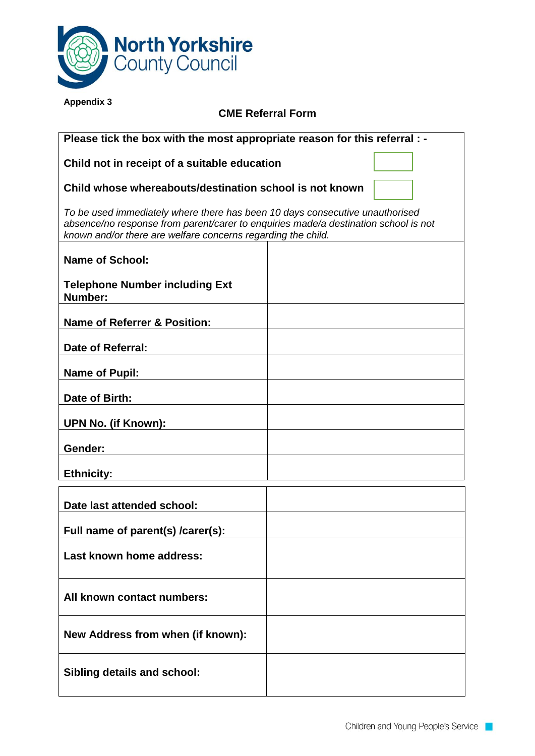

**Appendix 3**

#### **CME Referral Form**

| Please tick the box with the most appropriate reason for this referral : -                                                                                                                                                          |  |  |  |  |
|-------------------------------------------------------------------------------------------------------------------------------------------------------------------------------------------------------------------------------------|--|--|--|--|
| Child not in receipt of a suitable education                                                                                                                                                                                        |  |  |  |  |
| Child whose whereabouts/destination school is not known                                                                                                                                                                             |  |  |  |  |
| To be used immediately where there has been 10 days consecutive unauthorised<br>absence/no response from parent/carer to enquiries made/a destination school is not<br>known and/or there are welfare concerns regarding the child. |  |  |  |  |
| <b>Name of School:</b>                                                                                                                                                                                                              |  |  |  |  |
| <b>Telephone Number including Ext</b><br>Number:                                                                                                                                                                                    |  |  |  |  |
| <b>Name of Referrer &amp; Position:</b>                                                                                                                                                                                             |  |  |  |  |
| <b>Date of Referral:</b>                                                                                                                                                                                                            |  |  |  |  |
| <b>Name of Pupil:</b>                                                                                                                                                                                                               |  |  |  |  |
| Date of Birth:                                                                                                                                                                                                                      |  |  |  |  |
| <b>UPN No. (if Known):</b>                                                                                                                                                                                                          |  |  |  |  |
| Gender:                                                                                                                                                                                                                             |  |  |  |  |
| <b>Ethnicity:</b>                                                                                                                                                                                                                   |  |  |  |  |
| Date last attended school:                                                                                                                                                                                                          |  |  |  |  |
| Full name of parent(s) /carer(s):                                                                                                                                                                                                   |  |  |  |  |
| Last known home address:                                                                                                                                                                                                            |  |  |  |  |
| All known contact numbers:                                                                                                                                                                                                          |  |  |  |  |
| New Address from when (if known):                                                                                                                                                                                                   |  |  |  |  |
| Sibling details and school:                                                                                                                                                                                                         |  |  |  |  |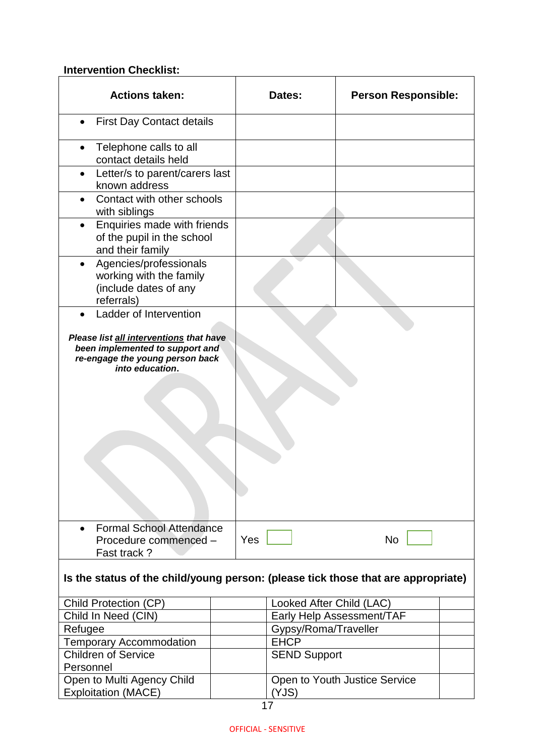#### **Intervention Checklist:**

| <b>Actions taken:</b>                                                                                                                                               |     | Dates:                   | <b>Person Responsible:</b>    |  |
|---------------------------------------------------------------------------------------------------------------------------------------------------------------------|-----|--------------------------|-------------------------------|--|
| <b>First Day Contact details</b><br>$\bullet$                                                                                                                       |     |                          |                               |  |
| Telephone calls to all<br>$\bullet$<br>contact details held                                                                                                         |     |                          |                               |  |
| Letter/s to parent/carers last<br>known address                                                                                                                     |     |                          |                               |  |
| Contact with other schools<br>with siblings                                                                                                                         |     |                          |                               |  |
| Enquiries made with friends<br>$\bullet$<br>of the pupil in the school<br>and their family                                                                          |     |                          |                               |  |
| Agencies/professionals<br>working with the family<br>(include dates of any<br>referrals)                                                                            |     |                          |                               |  |
| Ladder of Intervention                                                                                                                                              |     |                          |                               |  |
| Please list all interventions that have<br>been implemented to support and<br>re-engage the young person back<br>into education.<br><b>Formal School Attendance</b> |     |                          |                               |  |
| $\bullet$<br>Procedure commenced -<br>Fast track?                                                                                                                   | Yes |                          | <b>No</b>                     |  |
| Is the status of the child/young person: (please tick those that are appropriate)                                                                                   |     |                          |                               |  |
| Child Protection (CP)                                                                                                                                               |     | Looked After Child (LAC) |                               |  |
| Child In Need (CIN)                                                                                                                                                 |     |                          | Early Help Assessment/TAF     |  |
| Refugee                                                                                                                                                             |     | Gypsy/Roma/Traveller     |                               |  |
| <b>Temporary Accommodation</b>                                                                                                                                      |     | <b>EHCP</b>              |                               |  |
| <b>Children of Service</b>                                                                                                                                          |     | <b>SEND Support</b>      |                               |  |
| Personnel                                                                                                                                                           |     |                          |                               |  |
| Open to Multi Agency Child<br><b>Exploitation (MACE)</b>                                                                                                            |     | (YJS)                    | Open to Youth Justice Service |  |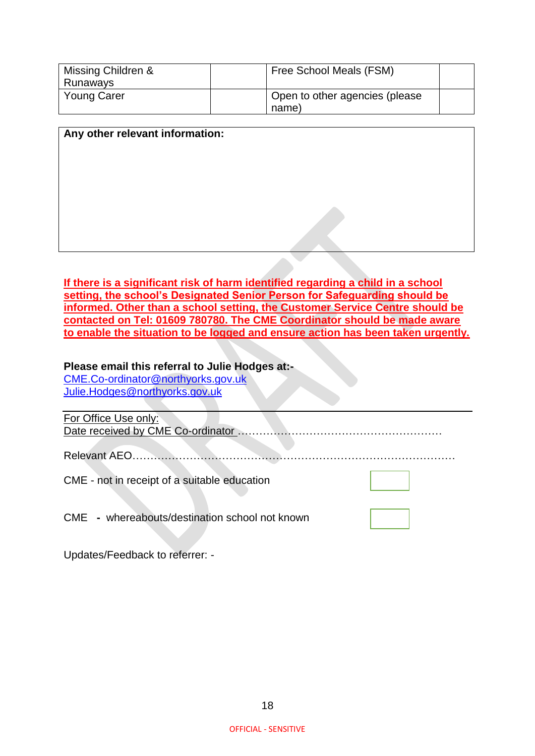| Missing Children &<br>Runaways | Free School Meals (FSM)                 |  |
|--------------------------------|-----------------------------------------|--|
| <b>Young Carer</b>             | Open to other agencies (please<br>name) |  |

| Any other relevant information: |  |
|---------------------------------|--|
|                                 |  |
|                                 |  |
|                                 |  |
|                                 |  |
|                                 |  |

**If there is a significant risk of harm identified regarding a child in a school setting, the school's Designated Senior Person for Safeguarding should be informed. Other than a school setting, the Customer Service Centre should be contacted on Tel: 01609 780780. The CME Coordinator should be made aware to enable the situation to be logged and ensure action has been taken urgently.** 

**Please email this referral to Julie Hodges at:-**

[CME.Co-ordinator@northyorks.gov.uk](mailto:CME.Co-ordinator@northyorks.gov.uk) Julie.Hodges@northyorks.gov.uk

For Office Use only: Date received by CME Co-ordinator …………………………………………………

Relevant AEO………………………………………………………………………………

CME - not in receipt of a suitable education

CME **-** whereabouts/destination school not known

Updates/Feedback to referrer: -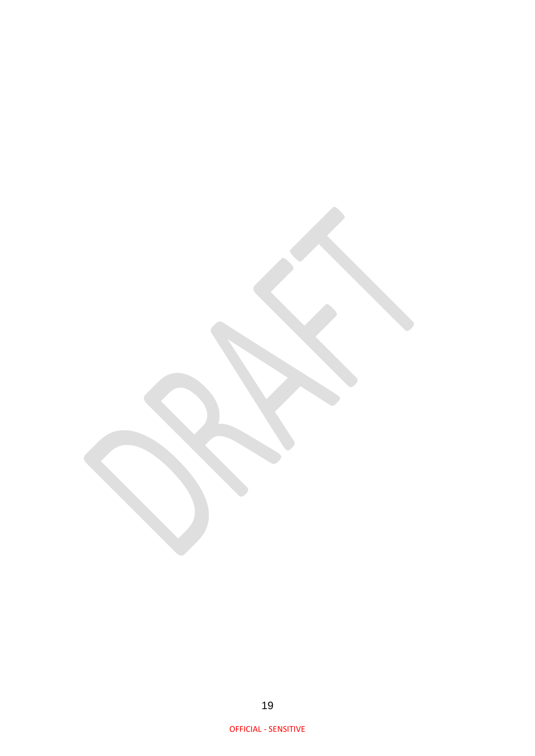19